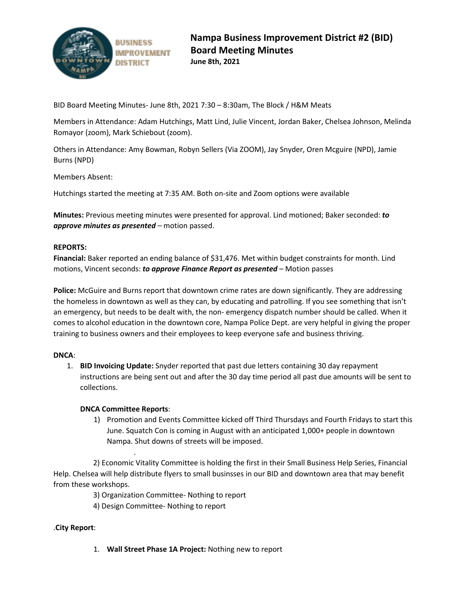

BID Board Meeting Minutes- June 8th, 2021 7:30 – 8:30am, The Block / H&M Meats

Members in Attendance: Adam Hutchings, Matt Lind, Julie Vincent, Jordan Baker, Chelsea Johnson, Melinda Romayor (zoom), Mark Schiebout (zoom).

Others in Attendance: Amy Bowman, Robyn Sellers (Via ZOOM), Jay Snyder, Oren Mcguire (NPD), Jamie Burns (NPD)

Members Absent:

Hutchings started the meeting at 7:35 AM. Both on-site and Zoom options were available

**Minutes:** Previous meeting minutes were presented for approval. Lind motioned; Baker seconded: *to approve minutes as presented* – motion passed.

## **REPORTS:**

**Financial:** Baker reported an ending balance of \$31,476. Met within budget constraints for month. Lind motions, Vincent seconds: *to approve Finance Report as presented* – Motion passes

**Police:** McGuire and Burns report that downtown crime rates are down significantly. They are addressing the homeless in downtown as well as they can, by educating and patrolling. If you see something that isn't an emergency, but needs to be dealt with, the non- emergency dispatch number should be called. When it comes to alcohol education in the downtown core, Nampa Police Dept. are very helpful in giving the proper training to business owners and their employees to keep everyone safe and business thriving.

### **DNCA**:

1. **BID Invoicing Update:** Snyder reported that past due letters containing 30 day repayment instructions are being sent out and after the 30 day time period all past due amounts will be sent to collections.

### **DNCA Committee Reports**:

.

1) Promotion and Events Committee kicked off Third Thursdays and Fourth Fridays to start this June. Squatch Con is coming in August with an anticipated 1,000+ people in downtown Nampa. Shut downs of streets will be imposed.

 2) Economic Vitality Committee is holding the first in their Small Business Help Series, Financial Help. Chelsea will help distribute flyers to small businsses in our BID and downtown area that may benefit from these workshops.

3) Organization Committee- Nothing to report

4) Design Committee- Nothing to report

# .**City Report**:

1. **Wall Street Phase 1A Project:** Nothing new to report